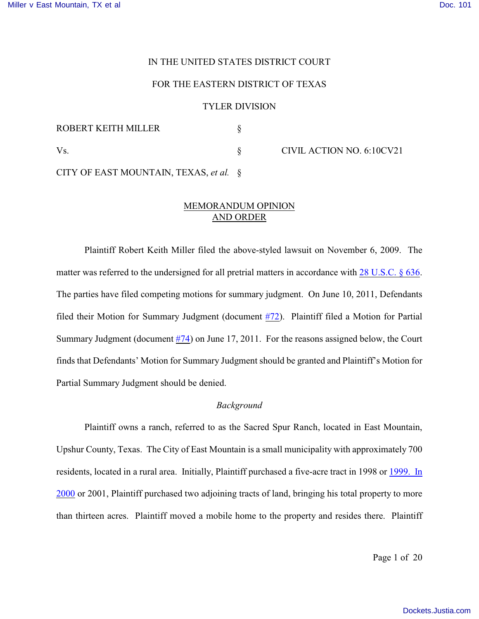#### IN THE UNITED STATES DISTRICT COURT

#### FOR THE EASTERN DISTRICT OF TEXAS

#### TYLER DIVISION

| ROBERT KEITH MILLER                       |                           |
|-------------------------------------------|---------------------------|
| Vs.                                       | CIVIL ACTION NO. 6:10CV21 |
| CITY OF EAST MOUNTAIN, TEXAS, et al. $\S$ |                           |

# MEMORANDUM OPINION AND ORDER

Plaintiff Robert Keith Miller filed the above-styled lawsuit on November 6, 2009. The matter was referred to the undersigned for all pretrial matters in accordance with [28 U.S.C. § 636](http://www.westlaw.com/find/default.wl?rs=CLWP3.0&vr=2.0&cite=28+USCA+s+636). The parties have filed competing motions for summary judgment. On June 10, 2011, Defendants filed their Motion for Summary Judgment (document [#72](https://ecf.txed.uscourts.gov/doc1/17504784614)). Plaintiff filed a Motion for Partial Summary Judgment (document [#74](https://ecf.txed.uscourts.gov/doc1/17504797987)) on June 17, 2011. For the reasons assigned below, the Court finds that Defendants' Motion for Summary Judgment should be granted and Plaintiff's Motion for Partial Summary Judgment should be denied.

## *Background*

Plaintiff owns a ranch, referred to as the Sacred Spur Ranch, located in East Mountain, Upshur County, Texas. The City of East Mountain is a small municipality with approximately 700 residents, located in a rural area. Initially, Plaintiff purchased a five-acre tract in 1998 or [1999. In](http://www.westlaw.com/find/default.wl?rs=CLWP3.0&vr=2.0&cite=1999+Ind.+2000) [2000](http://www.westlaw.com/find/default.wl?rs=CLWP3.0&vr=2.0&cite=1999+Ind.+2000) or 2001, Plaintiff purchased two adjoining tracts of land, bringing his total property to more than thirteen acres. Plaintiff moved a mobile home to the property and resides there. Plaintiff

Page 1 of 20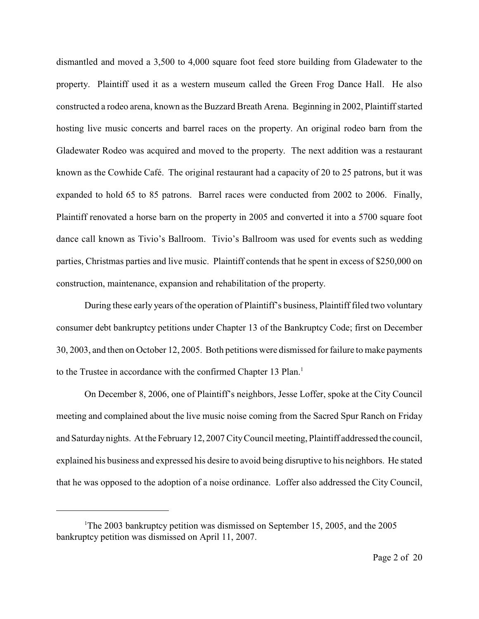dismantled and moved a 3,500 to 4,000 square foot feed store building from Gladewater to the property. Plaintiff used it as a western museum called the Green Frog Dance Hall. He also constructed a rodeo arena, known as the Buzzard Breath Arena. Beginning in 2002, Plaintiff started hosting live music concerts and barrel races on the property. An original rodeo barn from the Gladewater Rodeo was acquired and moved to the property. The next addition was a restaurant known as the Cowhide Café. The original restaurant had a capacity of 20 to 25 patrons, but it was expanded to hold 65 to 85 patrons. Barrel races were conducted from 2002 to 2006. Finally, Plaintiff renovated a horse barn on the property in 2005 and converted it into a 5700 square foot dance call known as Tivio's Ballroom. Tivio's Ballroom was used for events such as wedding parties, Christmas parties and live music. Plaintiff contends that he spent in excess of \$250,000 on construction, maintenance, expansion and rehabilitation of the property.

During these early years of the operation of Plaintiff's business, Plaintiff filed two voluntary consumer debt bankruptcy petitions under Chapter 13 of the Bankruptcy Code; first on December 30, 2003, and then on October 12, 2005. Both petitions were dismissed for failure to make payments to the Trustee in accordance with the confirmed Chapter 13 Plan.<sup>1</sup>

On December 8, 2006, one of Plaintiff's neighbors, Jesse Loffer, spoke at the City Council meeting and complained about the live music noise coming from the Sacred Spur Ranch on Friday and Saturday nights. At the February 12, 2007 City Council meeting, Plaintiff addressed the council, explained his business and expressed his desire to avoid being disruptive to his neighbors. He stated that he was opposed to the adoption of a noise ordinance. Loffer also addressed the City Council,

<sup>&</sup>lt;sup>1</sup>The 2003 bankruptcy petition was dismissed on September 15, 2005, and the 2005 bankruptcy petition was dismissed on April 11, 2007.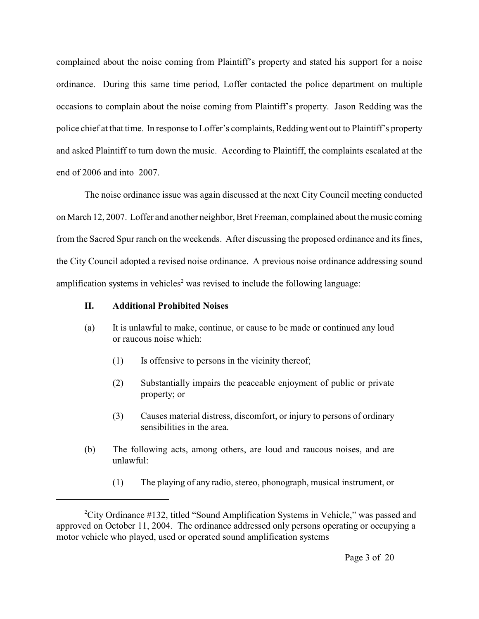complained about the noise coming from Plaintiff's property and stated his support for a noise ordinance. During this same time period, Loffer contacted the police department on multiple occasions to complain about the noise coming from Plaintiff's property. Jason Redding was the police chief at that time. In response to Loffer's complaints, Redding went out to Plaintiff's property and asked Plaintiff to turn down the music. According to Plaintiff, the complaints escalated at the end of 2006 and into 2007.

The noise ordinance issue was again discussed at the next City Council meeting conducted on March 12, 2007. Loffer and another neighbor, Bret Freeman, complained about the music coming from the Sacred Spur ranch on the weekends. After discussing the proposed ordinance and its fines, the City Council adopted a revised noise ordinance. A previous noise ordinance addressing sound amplification systems in vehicles<sup>2</sup> was revised to include the following language:

# **II. Additional Prohibited Noises**

- (a) It is unlawful to make, continue, or cause to be made or continued any loud or raucous noise which:
	- (1) Is offensive to persons in the vicinity thereof;
	- (2) Substantially impairs the peaceable enjoyment of public or private property; or
	- (3) Causes material distress, discomfort, or injury to persons of ordinary sensibilities in the area.
- (b) The following acts, among others, are loud and raucous noises, and are unlawful:
	- (1) The playing of any radio, stereo, phonograph, musical instrument, or

<sup>&</sup>lt;sup>2</sup>City Ordinance  $\#132$ , titled "Sound Amplification Systems in Vehicle," was passed and approved on October 11, 2004. The ordinance addressed only persons operating or occupying a motor vehicle who played, used or operated sound amplification systems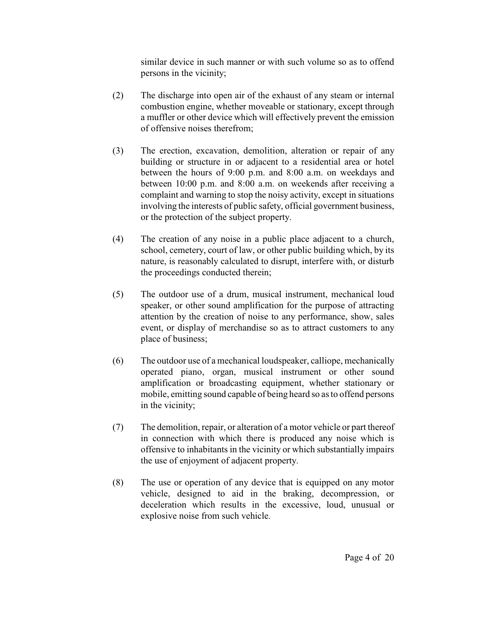similar device in such manner or with such volume so as to offend persons in the vicinity;

- (2) The discharge into open air of the exhaust of any steam or internal combustion engine, whether moveable or stationary, except through a muffler or other device which will effectively prevent the emission of offensive noises therefrom;
- (3) The erection, excavation, demolition, alteration or repair of any building or structure in or adjacent to a residential area or hotel between the hours of 9:00 p.m. and 8:00 a.m. on weekdays and between 10:00 p.m. and 8:00 a.m. on weekends after receiving a complaint and warning to stop the noisy activity, except in situations involving the interests of public safety, official government business, or the protection of the subject property.
- (4) The creation of any noise in a public place adjacent to a church, school, cemetery, court of law, or other public building which, by its nature, is reasonably calculated to disrupt, interfere with, or disturb the proceedings conducted therein;
- (5) The outdoor use of a drum, musical instrument, mechanical loud speaker, or other sound amplification for the purpose of attracting attention by the creation of noise to any performance, show, sales event, or display of merchandise so as to attract customers to any place of business;
- (6) The outdoor use of a mechanical loudspeaker, calliope, mechanically operated piano, organ, musical instrument or other sound amplification or broadcasting equipment, whether stationary or mobile, emitting sound capable of being heard so as to offend persons in the vicinity;
- (7) The demolition, repair, or alteration of a motor vehicle or part thereof in connection with which there is produced any noise which is offensive to inhabitants in the vicinity or which substantially impairs the use of enjoyment of adjacent property.
- (8) The use or operation of any device that is equipped on any motor vehicle, designed to aid in the braking, decompression, or deceleration which results in the excessive, loud, unusual or explosive noise from such vehicle.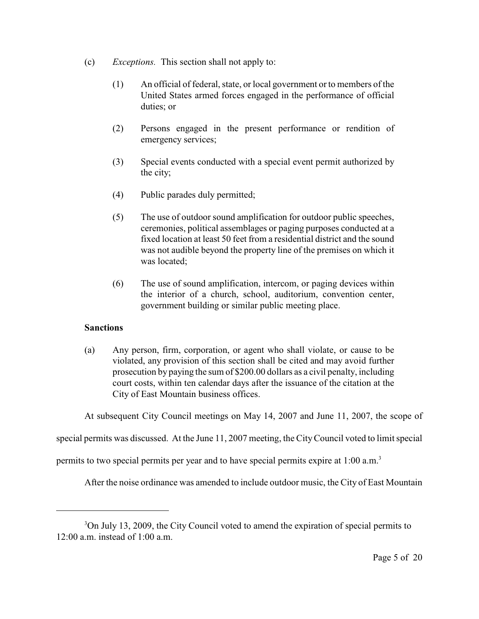- (c) *Exceptions.* This section shall not apply to:
	- (1) An official of federal, state, or local government or to members of the United States armed forces engaged in the performance of official duties; or
	- (2) Persons engaged in the present performance or rendition of emergency services;
	- (3) Special events conducted with a special event permit authorized by the city;
	- (4) Public parades duly permitted;
	- (5) The use of outdoor sound amplification for outdoor public speeches, ceremonies, political assemblages or paging purposes conducted at a fixed location at least 50 feet from a residential district and the sound was not audible beyond the property line of the premises on which it was located;
	- (6) The use of sound amplification, intercom, or paging devices within the interior of a church, school, auditorium, convention center, government building or similar public meeting place.

# **Sanctions**

(a) Any person, firm, corporation, or agent who shall violate, or cause to be violated, any provision of this section shall be cited and may avoid further prosecution by paying the sum of \$200.00 dollars as a civil penalty, including court costs, within ten calendar days after the issuance of the citation at the City of East Mountain business offices.

At subsequent City Council meetings on May 14, 2007 and June 11, 2007, the scope of

special permits was discussed. At the June 11, 2007 meeting, the City Council voted to limit special

permits to two special permits per year and to have special permits expire at 1:00 a.m. <sup>3</sup>

After the noise ordinance was amended to include outdoor music, the City of East Mountain

<sup>&</sup>lt;sup>3</sup>On July 13, 2009, the City Council voted to amend the expiration of special permits to  $12:00$  a.m. instead of  $1:00$  a.m.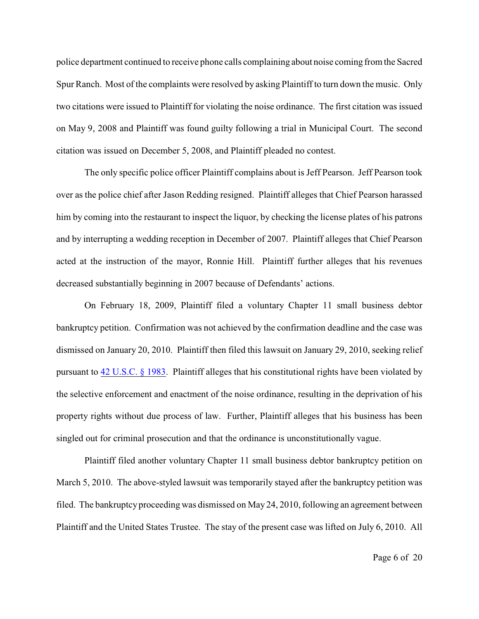police department continued to receive phone calls complaining about noise coming from the Sacred Spur Ranch. Most of the complaints were resolved by asking Plaintiff to turn down the music. Only two citations were issued to Plaintiff for violating the noise ordinance. The first citation was issued on May 9, 2008 and Plaintiff was found guilty following a trial in Municipal Court. The second citation was issued on December 5, 2008, and Plaintiff pleaded no contest.

The only specific police officer Plaintiff complains about is Jeff Pearson. Jeff Pearson took over as the police chief after Jason Redding resigned. Plaintiff alleges that Chief Pearson harassed him by coming into the restaurant to inspect the liquor, by checking the license plates of his patrons and by interrupting a wedding reception in December of 2007. Plaintiff alleges that Chief Pearson acted at the instruction of the mayor, Ronnie Hill. Plaintiff further alleges that his revenues decreased substantially beginning in 2007 because of Defendants' actions.

On February 18, 2009, Plaintiff filed a voluntary Chapter 11 small business debtor bankruptcy petition. Confirmation was not achieved by the confirmation deadline and the case was dismissed on January 20, 2010. Plaintiff then filed this lawsuit on January 29, 2010, seeking relief pursuant to [42 U.S.C. § 1983](http://www.westlaw.com/find/default.wl?rs=CLWP3.0&vr=2.0&cite=42+USCA+s+1983). Plaintiff alleges that his constitutional rights have been violated by the selective enforcement and enactment of the noise ordinance, resulting in the deprivation of his property rights without due process of law. Further, Plaintiff alleges that his business has been singled out for criminal prosecution and that the ordinance is unconstitutionally vague.

Plaintiff filed another voluntary Chapter 11 small business debtor bankruptcy petition on March 5, 2010. The above-styled lawsuit was temporarily stayed after the bankruptcy petition was filed. The bankruptcy proceeding was dismissed on May 24, 2010, following an agreement between Plaintiff and the United States Trustee. The stay of the present case was lifted on July 6, 2010. All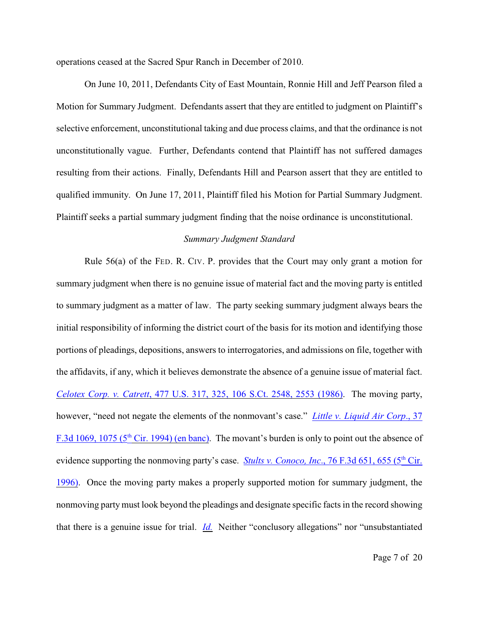operations ceased at the Sacred Spur Ranch in December of 2010.

On June 10, 2011, Defendants City of East Mountain, Ronnie Hill and Jeff Pearson filed a Motion for Summary Judgment. Defendants assert that they are entitled to judgment on Plaintiff's selective enforcement, unconstitutional taking and due process claims, and that the ordinance is not unconstitutionally vague. Further, Defendants contend that Plaintiff has not suffered damages resulting from their actions. Finally, Defendants Hill and Pearson assert that they are entitled to qualified immunity. On June 17, 2011, Plaintiff filed his Motion for Partial Summary Judgment. Plaintiff seeks a partial summary judgment finding that the noise ordinance is unconstitutional.

## *Summary Judgment Standard*

Rule 56(a) of the FED. R. CIV. P. provides that the Court may only grant a motion for summary judgment when there is no genuine issue of material fact and the moving party is entitled to summary judgment as a matter of law. The party seeking summary judgment always bears the initial responsibility of informing the district court of the basis for its motion and identifying those portions of pleadings, depositions, answers to interrogatories, and admissions on file, together with the affidavits, if any, which it believes demonstrate the absence of a genuine issue of material fact. *Celotex Corp. v. Catrett*[, 477 U.S. 317, 325, 106 S.Ct. 2548, 2553 \(1986\)](http://www.westlaw.com/find/default.wl?rs=CLWP3.0&vr=2.0&cite=477+U.S.+317). The moving party, however, "need not negate the elements of the nonmovant's case." *[Little v. Liquid Air Corp](http://www.westlaw.com/find/default.wl?rs=CLWP3.0&vr=2.0&cite=37+F.3d+1069)*., 37 F.3d 1069, 1075 ( $5<sup>th</sup>$  Cir. 1994) (en banc). The movant's burden is only to point out the absence of evidence supporting the nonmoving party's case. *Stults v. Conoco, Inc.*, 76 F.3d 651, 655 (5<sup>th</sup> Cir. [1996\)](http://www.westlaw.com/find/default.wl?rs=CLWP3.0&vr=2.0&cite=76+F.3d+651). Once the moving party makes a properly supported motion for summary judgment, the nonmoving party must look beyond the pleadings and designate specific facts in the record showing that there is a genuine issue for trial. *[Id.](http://www.westlaw.com/find/default.wl?rs=CLWP3.0&vr=2.0&cite=76+F.3d+651)* Neither "conclusory allegations" nor "unsubstantiated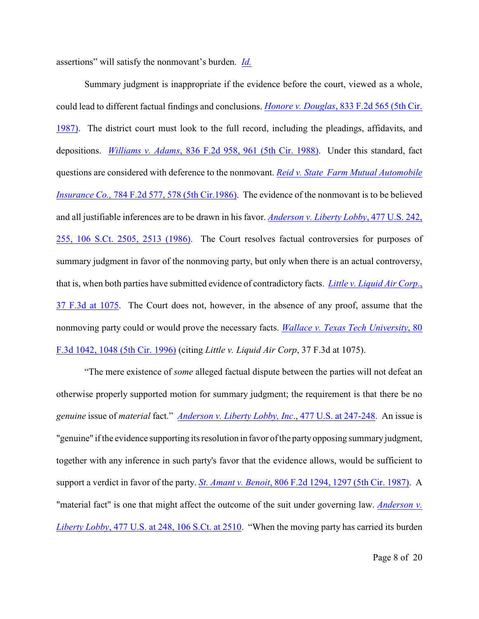assertions" will satisfy the nonmovant's burden. *[Id.](http://www.westlaw.com/find/default.wl?rs=CLWP3.0&vr=2.0&cite=76+F.3d+651)*

Summary judgment is inappropriate if the evidence before the court, viewed as a whole, could lead to different factual findings and conclusions. *Honore v. Douglas*[, 833 F.2d 565 \(5th Cir.](http://www.westlaw.com/find/default.wl?rs=CLWP3.0&vr=2.0&cite=833+F.2d+565) [1987\)](http://www.westlaw.com/find/default.wl?rs=CLWP3.0&vr=2.0&cite=833+F.2d+565). The district court must look to the full record, including the pleadings, affidavits, and depositions. *Williams v. Adams*[, 836 F.2d 958, 961 \(5th Cir. 1988\)](http://www.westlaw.com/find/default.wl?rs=CLWP3.0&vr=2.0&cite=836+F.2d+958). Under this standard, fact questions are considered with deference to the nonmovant. *[Reid v. State Farm Mutual Automobile](http://www.westlaw.com/find/default.wl?rs=CLWP3.0&vr=2.0&cite=784+F.2d+577) Insurance Co., [784 F.2d 577, 578 \(5th Cir.1986\)](http://www.westlaw.com/find/default.wl?rs=CLWP3.0&vr=2.0&cite=784+F.2d+577).* The evidence of the nonmovant is to be believed and all justifiable inferences are to be drawn in his favor. *[Anderson v. Liberty Lobby](http://www.westlaw.com/find/default.wl?rs=CLWP3.0&vr=2.0&cite=477+U.S.+242)*, 477 U.S. 242, [255, 106 S.Ct. 2505, 2513 \(1986\)](http://www.westlaw.com/find/default.wl?rs=CLWP3.0&vr=2.0&cite=477+U.S.+242). The Court resolves factual controversies for purposes of summary judgment in favor of the nonmoving party, but only when there is an actual controversy, that is, when both parties have submitted evidence of contradictory facts. *[Little v. Liquid Air Corp](http://www.westlaw.com/find/default.wl?rs=CLWP3.0&vr=2.0&cite=37+F.3d+1075)*., [37 F.3d at 1075](http://www.westlaw.com/find/default.wl?rs=CLWP3.0&vr=2.0&cite=37+F.3d+1075). The Court does not, however, in the absence of any proof, assume that the nonmoving party could or would prove the necessary facts. *[Wallace v. Texas Tech University](http://www.westlaw.com/find/default.wl?rs=CLWP3.0&vr=2.0&cite=80+F.3d+1042)*, 80 [F.3d 1042, 1048 \(5th Cir. 1996\)](http://www.westlaw.com/find/default.wl?rs=CLWP3.0&vr=2.0&cite=80+F.3d+1042) (citing *Little v. Liquid Air Corp*, 37 F.3d at 1075).

"The mere existence of *some* alleged factual dispute between the parties will not defeat an otherwise properly supported motion for summary judgment; the requirement is that there be no *genuine* issue of *material* fact." *[Anderson v. Liberty Lobby, Inc](http://www.westlaw.com/find/default.wl?rs=CLWP3.0&vr=2.0&cite=477+U.S.+247)*., 477 U.S. at 247-248. An issue is "genuine" if the evidence supporting its resolution in favor of the party opposing summary judgment, together with any inference in such party's favor that the evidence allows, would be sufficient to support a verdict in favor of the party. *St. Amant v. Benoit*[, 806 F.2d 1294, 1297 \(5th Cir. 1987\)](http://www.westlaw.com/find/default.wl?rs=CLWP3.0&vr=2.0&cite=806+F.2d+1294). A "material fact" is one that might affect the outcome of the suit under governing law. *[Anderson v.](http://www.westlaw.com/find/default.wl?rs=CLWP3.0&vr=2.0&cite=477+U.S.+248) Liberty Lobby*[, 477 U.S. at 248, 106 S.Ct. at 2510](http://www.westlaw.com/find/default.wl?rs=CLWP3.0&vr=2.0&cite=477+U.S.+248). "When the moving party has carried its burden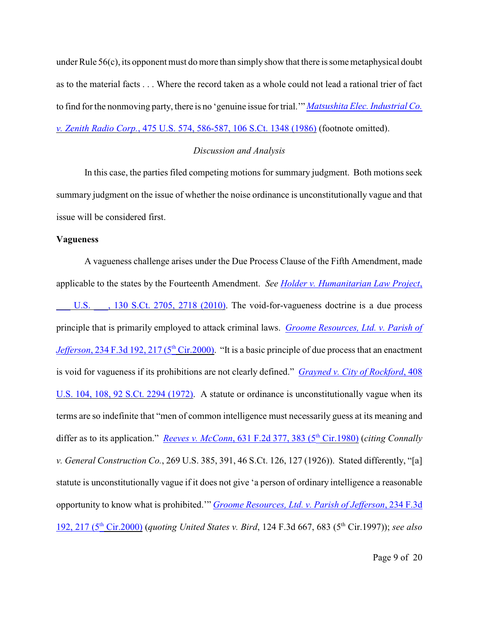under Rule 56(c), its opponent must do more than simply show that there is some metaphysical doubt as to the material facts . . . Where the record taken as a whole could not lead a rational trier of fact to find for the nonmoving party, there is no 'genuine issue for trial.'" *[Matsushita Elec. Industrial Co.](http://www.westlaw.com/find/default.wl?rs=CLWP3.0&vr=2.0&cite=475+U.S.+574) v. Zenith Radio Corp.*[, 475 U.S. 574, 586-587, 106 S.Ct. 1348 \(1986\)](http://www.westlaw.com/find/default.wl?rs=CLWP3.0&vr=2.0&cite=475+U.S.+574) (footnote omitted).

## *Discussion and Analysis*

In this case, the parties filed competing motions for summary judgment. Both motions seek summary judgment on the issue of whether the noise ordinance is unconstitutionally vague and that issue will be considered first.

#### **Vagueness**

A vagueness challenge arises under the Due Process Clause of the Fifth Amendment, made applicable to the states by the Fourteenth Amendment. *See [Holder v. Humanitarian Law Project](http://www.westlaw.com/find/default.wl?rs=CLWP3.0&vr=2.0&cite=130+S.Ct.+2705)*,

U.S.  $\ldots$ , 130 S.Ct. 2705, 2718 (2010). The void-for-vagueness doctrine is a due process principle that is primarily employed to attack criminal laws. *[Groome Resources, Ltd. v. Parish of](http://www.westlaw.com/find/default.wl?rs=CLWP3.0&vr=2.0&cite=234+F.3d+192) Jefferson*, 234 F.3d 192, 217 (5<sup>th</sup> Cir.2000). "It is a basic principle of due process that an enactment is void for vagueness if its prohibitions are not clearly defined." *[Grayned v. City of Rockford](http://www.westlaw.com/find/default.wl?rs=CLWP3.0&vr=2.0&cite=408+U.S.+104)*, 408 [U.S. 104, 108, 92 S.Ct. 2294 \(1972\)](http://www.westlaw.com/find/default.wl?rs=CLWP3.0&vr=2.0&cite=408+U.S.+104). A statute or ordinance is unconstitutionally vague when its terms are so indefinite that "men of common intelligence must necessarily guess at its meaning and differ as to its application." *Reeves v. McConn*, 631 F.2d 377, 383 (5<sup>th</sup> Cir.1980) (*citing Connally v. General Construction Co.*, 269 U.S. 385, 391, 46 S.Ct. 126, 127 (1926)). Stated differently, "[a] statute is unconstitutionally vague if it does not give 'a person of ordinary intelligence a reasonable opportunity to know what is prohibited.'" *[Groome Resources, Ltd. v. Parish of Jefferson](http://www.westlaw.com/find/default.wl?rs=CLWP3.0&vr=2.0&cite=234+F.3d+192)*, 234 F.3d 192, 217 (5<sup>th</sup> Cir.2000) (*quoting United States v. Bird*, 124 F.3d 667, 683 (5<sup>th</sup> Cir.1997)); *see also*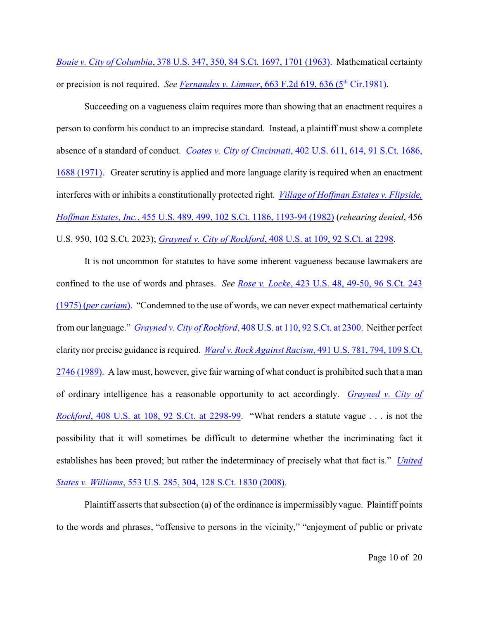*Bouie v. City of Columbia*[, 378 U.S. 347, 350, 84 S.Ct. 1697, 1701 \(1963\)](http://www.westlaw.com/find/default.wl?rs=CLWP3.0&vr=2.0&cite=378+U.S.+347). Mathematical certainty or precision is not required. See <u>Fernandes v. Limmer, 663 F.2d 619, 636 (5<sup>th</sup> Cir.1981)</u>.

Succeeding on a vagueness claim requires more than showing that an enactment requires a person to conform his conduct to an imprecise standard. Instead, a plaintiff must show a complete absence of a standard of conduct. *Coates v. City of Cincinnati*[, 402 U.S. 611, 614, 91 S.Ct. 1686,](http://www.westlaw.com/find/default.wl?rs=CLWP3.0&vr=2.0&cite=402+U.S.+611) [1688 \(1971\)](http://www.westlaw.com/find/default.wl?rs=CLWP3.0&vr=2.0&cite=402+U.S.+611). Greater scrutiny is applied and more language clarity is required when an enactment interferes with or inhibits a constitutionally protected right. *[Village of Hoffman Estates v. Flipside,](http://www.westlaw.com/find/default.wl?rs=CLWP3.0&vr=2.0&cite=455+U.S.+489) Hoffman Estates, Inc.*[, 455 U.S. 489, 499, 102 S.Ct. 1186, 1193-94 \(1982\)](http://www.westlaw.com/find/default.wl?rs=CLWP3.0&vr=2.0&cite=455+U.S.+489) (*rehearing denied*, 456 U.S. 950, 102 S.Ct. 2023); *Grayned v. City of Rockford*[, 408 U.S. at 109, 92 S.Ct. at 2298](http://www.westlaw.com/find/default.wl?rs=CLWP3.0&vr=2.0&cite=408+U.S.+109).

It is not uncommon for statutes to have some inherent vagueness because lawmakers are confined to the use of words and phrases. *See Rose v. Locke*[, 423 U.S. 48, 49-50, 96 S.Ct. 243](http://www.westlaw.com/find/default.wl?rs=CLWP3.0&vr=2.0&cite=423+U.S.+48) (1975) (*[per curiam](http://www.westlaw.com/find/default.wl?rs=CLWP3.0&vr=2.0&cite=423+U.S.+48)*). "Condemned to the use of words, we can never expect mathematical certainty from our language." *Grayned v. City of Rockford*[, 408 U.S. at 110, 92 S.Ct. at 2300](http://www.westlaw.com/find/default.wl?rs=CLWP3.0&vr=2.0&cite=408+U.S.+110). Neither perfect clarity nor precise guidance is required. *[Ward v. Rock Against Racism](http://www.westlaw.com/find/default.wl?rs=CLWP3.0&vr=2.0&cite=491+U.S.+781)*, 491 U.S. 781, 794, 109 S.Ct. [2746 \(1989\)](http://www.westlaw.com/find/default.wl?rs=CLWP3.0&vr=2.0&cite=491+U.S.+781). A law must, however, give fair warning of what conduct is prohibited such that a man of ordinary intelligence has a reasonable opportunity to act accordingly. *[Grayned v. City of](http://www.westlaw.com/find/default.wl?rs=CLWP3.0&vr=2.0&cite=408+U.S.+108) Rockford*[, 408 U.S. at 108, 92 S.Ct. at 2298-99](http://www.westlaw.com/find/default.wl?rs=CLWP3.0&vr=2.0&cite=408+U.S.+108). "What renders a statute vague . . . is not the possibility that it will sometimes be difficult to determine whether the incriminating fact it establishes has been proved; but rather the indeterminacy of precisely what that fact is." *[United](http://www.westlaw.com/find/default.wl?rs=CLWP3.0&vr=2.0&cite=553+U.S.+285) States v. Williams*[, 553 U.S. 285, 304, 128 S.Ct. 1830 \(2008\)](http://www.westlaw.com/find/default.wl?rs=CLWP3.0&vr=2.0&cite=553+U.S.+285).

Plaintiff asserts that subsection (a) of the ordinance is impermissibly vague. Plaintiff points to the words and phrases, "offensive to persons in the vicinity," "enjoyment of public or private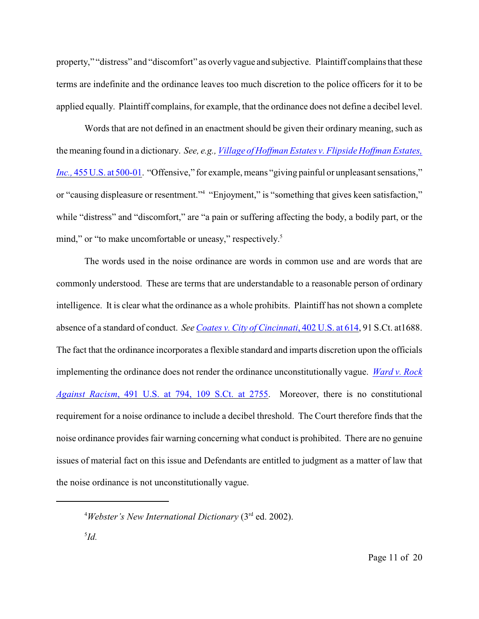property," "distress" and "discomfort" as overly vague and subjective. Plaintiff complains that these terms are indefinite and the ordinance leaves too much discretion to the police officers for it to be applied equally. Plaintiff complains, for example, that the ordinance does not define a decibel level.

Words that are not defined in an enactment should be given their ordinary meaning, such as the meaning found in a dictionary. *See, e.g., [Village of Hoffman Estates v. Flipside Hoffman Estates,](http://www.westlaw.com/find/default.wl?rs=CLWP3.0&vr=2.0&cite=455+U.S.+500) Inc.*, 455 U.S. [at 500-01](http://www.westlaw.com/find/default.wl?rs=CLWP3.0&vr=2.0&cite=455+U.S.+500). "Offensive," for example, means "giving painful or unpleasant sensations," or "causing displeasure or resentment."<sup>4</sup> "Enjoyment," is "something that gives keen satisfaction," while "distress" and "discomfort," are "a pain or suffering affecting the body, a bodily part, or the mind," or "to make uncomfortable or uneasy," respectively.<sup>5</sup>

The words used in the noise ordinance are words in common use and are words that are commonly understood. These are terms that are understandable to a reasonable person of ordinary intelligence. It is clear what the ordinance as a whole prohibits. Plaintiff has not shown a complete absence of a standard of conduct. *See [Coates v. City of Cincinnati](http://www.westlaw.com/find/default.wl?rs=CLWP3.0&vr=2.0&cite=402+U.S.+614)*, 402 U.S. at 614, 91 S.Ct. at1688. The fact that the ordinance incorporates a flexible standard and imparts discretion upon the officials implementing the ordinance does not render the ordinance unconstitutionally vague. *[Ward v. Rock](http://www.westlaw.com/find/default.wl?rs=CLWP3.0&vr=2.0&cite=491+U.S.+794) Against Racism*[, 491 U.S. at 794, 109 S.Ct. at 2755](http://www.westlaw.com/find/default.wl?rs=CLWP3.0&vr=2.0&cite=491+U.S.+794). Moreover, there is no constitutional requirement for a noise ordinance to include a decibel threshold. The Court therefore finds that the noise ordinance provides fair warning concerning what conduct is prohibited. There are no genuine issues of material fact on this issue and Defendants are entitled to judgment as a matter of law that the noise ordinance is not unconstitutionally vague.

<sup>&</sup>lt;sup>4</sup> Webster's New International Dictionary (3<sup>rd</sup> ed. 2002).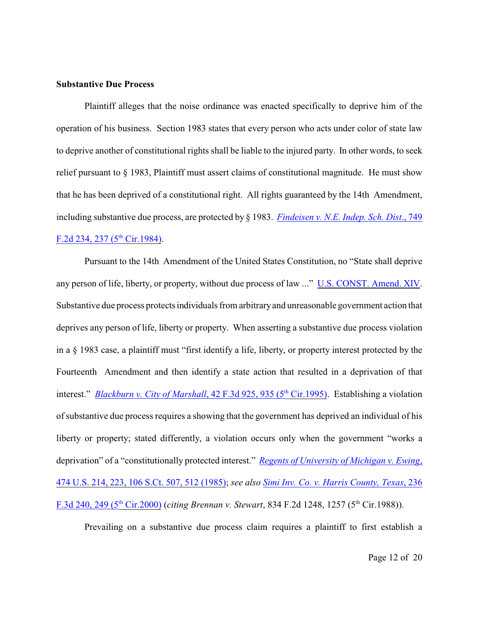#### **Substantive Due Process**

Plaintiff alleges that the noise ordinance was enacted specifically to deprive him of the operation of his business. Section 1983 states that every person who acts under color of state law to deprive another of constitutional rights shall be liable to the injured party. In other words, to seek relief pursuant to § 1983, Plaintiff must assert claims of constitutional magnitude. He must show that he has been deprived of a constitutional right. All rights guaranteed by the 14th Amendment, including substantive due process, are protected by § 1983. *[Findeisen v. N.E. Indep. Sch. Dist](http://www.westlaw.com/find/default.wl?rs=CLWP3.0&vr=2.0&cite=749+F.2d+234)*., 749 F.2d 234, 237 ( $5<sup>th</sup>$  Cir.1984).

Pursuant to the 14th Amendment of the United States Constitution, no "State shall deprive any person of life, liberty, or property, without due process of law ..." [U.S. CONST. Amend. XIV](http://www.westlaw.com/find/default.wl?rs=CLWP3.0&vr=2.0&cite=USCA+CONST+Amend.+XIV). Substantive due process protects individuals from arbitrary and unreasonable government action that deprives any person of life, liberty or property. When asserting a substantive due process violation in a § 1983 case, a plaintiff must "first identify a life, liberty, or property interest protected by the Fourteenth Amendment and then identify a state action that resulted in a deprivation of that interest." *Blackburn v. City of Marshall*, 42 F.3d 925, 935 (5<sup>th</sup> Cir.1995). Establishing a violation of substantive due process requires a showing that the government has deprived an individual of his liberty or property; stated differently, a violation occurs only when the government "works a deprivation" of a "constitutionally protected interest." *[Regents of University of Michigan v. Ewing](http://www.westlaw.com/find/default.wl?rs=CLWP3.0&vr=2.0&cite=474+U.S.+214)*, [474 U.S. 214, 223, 106 S.Ct. 507, 512 \(1985\)](http://www.westlaw.com/find/default.wl?rs=CLWP3.0&vr=2.0&cite=474+U.S.+214); *see also [Simi Inv. Co. v. Harris County, Texas](http://www.westlaw.com/find/default.wl?rs=CLWP3.0&vr=2.0&cite=236+F.3d+240)*, 236 F.3d 240, 249 (5<sup>th</sup> Cir.2000) (*citing Brennan v. Stewart*, 834 F.2d 1248, 1257 (5<sup>th</sup> Cir.1988)).

Prevailing on a substantive due process claim requires a plaintiff to first establish a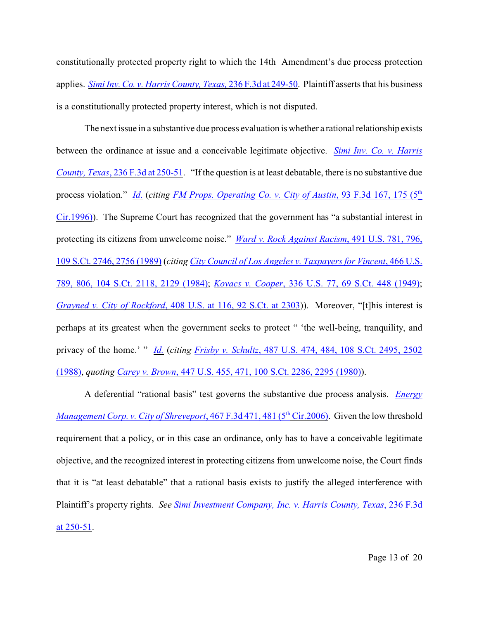constitutionally protected property right to which the 14th Amendment's due process protection applies. *[Simi Inv. Co. v. Harris County, Texas,](http://www.westlaw.com/find/default.wl?rs=CLWP3.0&vr=2.0&cite=236+F.3d+249)* 236 F.3d at 249-50. Plaintiff asserts that his business is a constitutionally protected property interest, which is not disputed.

The next issue in a substantive due process evaluation is whether a rational relationship exists between the ordinance at issue and a conceivable legitimate objective. *[Simi Inv. Co. v. Harris](http://www.westlaw.com/find/default.wl?rs=CLWP3.0&vr=2.0&cite=236+F.3d+250) County, Texas*[, 236 F.3d at 250-51](http://www.westlaw.com/find/default.wl?rs=CLWP3.0&vr=2.0&cite=236+F.3d+250). "If the question is at least debatable, there is no substantive due process violation." *[Id](http://www.westlaw.com/find/default.wl?rs=CLWP3.0&vr=2.0&cite=236+F.3d+250).* (*citing [FM Props. Operating Co. v. City of Austin](http://www.westlaw.com/find/default.wl?rs=CLWP3.0&vr=2.0&cite=93+F.3d+167)*, 93 F.3d 167, 175 (5<sup>th</sup>) [Cir.1996\)](http://www.westlaw.com/find/default.wl?rs=CLWP3.0&vr=2.0&cite=93+F.3d+167)). The Supreme Court has recognized that the government has "a substantial interest in protecting its citizens from unwelcome noise." *[Ward v. Rock Against Racism](http://www.westlaw.com/find/default.wl?rs=CLWP3.0&vr=2.0&cite=491+U.S.+781)*, 491 U.S. 781, 796, [109 S.Ct. 2746, 2756 \(1989\)](http://www.westlaw.com/find/default.wl?rs=CLWP3.0&vr=2.0&cite=491+U.S.+781) (*citing [City Council of Los Angeles v. Taxpayers for Vincent](http://www.westlaw.com/find/default.wl?rs=CLWP3.0&vr=2.0&cite=466+U.S.+789)*, 466 U.S. [789, 806, 104 S.Ct. 2118, 2129 \(1984\)](http://www.westlaw.com/find/default.wl?rs=CLWP3.0&vr=2.0&cite=466+U.S.+789); *Kovacs v. Cooper*[, 336 U.S. 77, 69 S.Ct. 448 \(1949\)](http://www.westlaw.com/find/default.wl?rs=CLWP3.0&vr=2.0&cite=336+U.S.+77); *Grayned v. City of Rockford*[, 408 U.S. at 116, 92 S.Ct. at 2303](http://www.westlaw.com/find/default.wl?rs=CLWP3.0&vr=2.0&cite=408+U.S.+116))). Moreover, "[t]his interest is perhaps at its greatest when the government seeks to protect " 'the well-being, tranquility, and privacy of the home.' " *[Id.](http://www.westlaw.com/find/default.wl?rs=CLWP3.0&vr=2.0&cite=408+U.S.+116)* (*citing Frisby v. Schultz*[, 487 U.S. 474, 484, 108 S.Ct. 2495, 2502](http://www.westlaw.com/find/default.wl?rs=CLWP3.0&vr=2.0&cite=487+U.S.+474) [\(1988\)](http://www.westlaw.com/find/default.wl?rs=CLWP3.0&vr=2.0&cite=487+U.S.+474), *quoting Carey v. Brown*[, 447 U.S. 455, 471, 100 S.Ct. 2286, 2295 \(1980\)](http://www.westlaw.com/find/default.wl?rs=CLWP3.0&vr=2.0&cite=447+U.S.+455)).

A deferential "rational basis" test governs the substantive due process analysis. *[Energy](http://www.westlaw.com/find/default.wl?rs=CLWP3.0&vr=2.0&cite=467+F.3d+471) [Management Corp. v. City of Shreveport](http://www.westlaw.com/find/default.wl?rs=CLWP3.0&vr=2.0&cite=467+F.3d+471)*, 467 F.3d 471, 481 (5<sup>th</sup> Cir.2006). Given the low threshold requirement that a policy, or in this case an ordinance, only has to have a conceivable legitimate objective, and the recognized interest in protecting citizens from unwelcome noise, the Court finds that it is "at least debatable" that a rational basis exists to justify the alleged interference with Plaintiff's property rights. *See [Simi Investment Company, Inc. v. Harris County, Texas](http://www.westlaw.com/find/default.wl?rs=CLWP3.0&vr=2.0&cite=236+F.3d+250)*, 236 F.3d [at 250-51](http://www.westlaw.com/find/default.wl?rs=CLWP3.0&vr=2.0&cite=236+F.3d+250).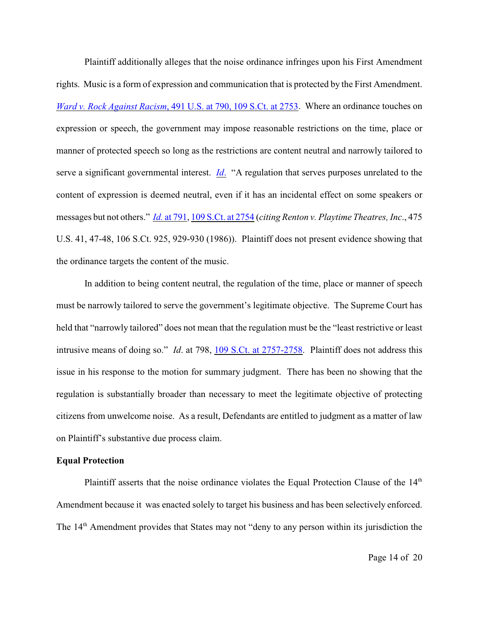Plaintiff additionally alleges that the noise ordinance infringes upon his First Amendment rights. Music is a form of expression and communication that is protected by the First Amendment. *Ward v. Rock Against Racism*[, 491 U.S. at 790, 109 S.Ct. at 2753](http://www.westlaw.com/find/default.wl?rs=CLWP3.0&vr=2.0&cite=491+U.S.+790). Where an ordinance touches on expression or speech, the government may impose reasonable restrictions on the time, place or manner of protected speech so long as the restrictions are content neutral and narrowly tailored to serve a significant governmental interest. *[Id](http://www.westlaw.com/find/default.wl?rs=CLWP3.0&vr=2.0&cite=491+U.S.+790)*. "A regulation that serves purposes unrelated to the content of expression is deemed neutral, even if it has an incidental effect on some speakers or messages but not others." *Id.* [at 791](http://www.westlaw.com/find/default.wl?rs=CLWP3.0&vr=2.0&cite=491+U.S.+791), [109 S.Ct. at 2754](http://www.westlaw.com/find/default.wl?rs=CLWP3.0&vr=2.0&cite=109+S.Ct.+2754) (*citing Renton v. Playtime Theatres, Inc*., 475 U.S. 41, 47-48, 106 S.Ct. 925, 929-930 (1986)). Plaintiff does not present evidence showing that the ordinance targets the content of the music.

In addition to being content neutral, the regulation of the time, place or manner of speech must be narrowly tailored to serve the government's legitimate objective. The Supreme Court has held that "narrowly tailored" does not mean that the regulation must be the "least restrictive or least intrusive means of doing so." *Id*. at 798, [109 S.Ct. at 2757-2758](http://www.westlaw.com/find/default.wl?rs=CLWP3.0&vr=2.0&cite=109+S.Ct.+2757). Plaintiff does not address this issue in his response to the motion for summary judgment. There has been no showing that the regulation is substantially broader than necessary to meet the legitimate objective of protecting citizens from unwelcome noise. As a result, Defendants are entitled to judgment as a matter of law on Plaintiff's substantive due process claim.

## **Equal Protection**

Plaintiff asserts that the noise ordinance violates the Equal Protection Clause of the 14<sup>th</sup> Amendment because it was enacted solely to target his business and has been selectively enforced. The 14<sup>th</sup> Amendment provides that States may not "deny to any person within its jurisdiction the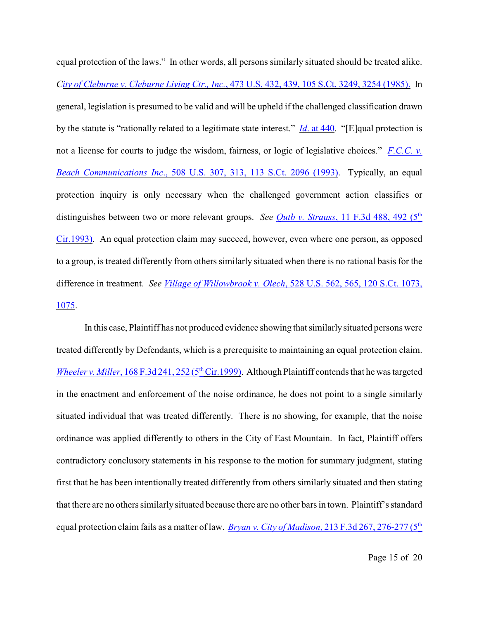equal protection of the laws." In other words, all persons similarly situated should be treated alike. *City of Cleburne v. Cleburne Living Ctr., Inc.*[, 473 U.S. 432, 439, 105 S.Ct. 3249, 3254 \(1985\).](http://www.westlaw.com/find/default.wl?rs=CLWP3.0&vr=2.0&cite=473+U.S.+432) In general, legislation is presumed to be valid and will be upheld if the challenged classification drawn by the statute is "rationally related to a legitimate state interest." *Id*[. at 440](http://www.westlaw.com/find/default.wl?rs=CLWP3.0&vr=2.0&cite=473+U.S.+440). "[E]qual protection is not a license for courts to judge the wisdom, fairness, or logic of legislative choices." *[F.C.C. v.](http://www.westlaw.com/find/default.wl?rs=CLWP3.0&vr=2.0&cite=508+U.S.+307) Beach Communications Inc*[., 508 U.S. 307, 313, 113 S.Ct. 2096 \(1993\)](http://www.westlaw.com/find/default.wl?rs=CLWP3.0&vr=2.0&cite=508+U.S.+307). Typically, an equal protection inquiry is only necessary when the challenged government action classifies or distinguishes between two or more relevant groups. *See Qutb v. Strauss*[, 11 F.3d 488, 492 \(5](http://www.westlaw.com/find/default.wl?rs=CLWP3.0&vr=2.0&cite=11+F.3d+488)<sup>th</sup>) [Cir.1993\)](http://www.westlaw.com/find/default.wl?rs=CLWP3.0&vr=2.0&cite=11+F.3d+488). An equal protection claim may succeed, however, even where one person, as opposed to a group, is treated differently from others similarly situated when there is no rational basis for the difference in treatment. *See Village of Willowbrook v. Olech*[, 528 U.S. 562, 565, 120 S.Ct. 1073,](http://www.westlaw.com/find/default.wl?rs=CLWP3.0&vr=2.0&cite=528+U.S.+562) [1075](http://www.westlaw.com/find/default.wl?rs=CLWP3.0&vr=2.0&cite=528+U.S.+562).

In this case, Plaintiff has not produced evidence showing that similarly situated persons were treated differently by Defendants, which is a prerequisite to maintaining an equal protection claim. *Wheeler v. Miller*,  $168 F.3d 241, 252 (5<sup>th</sup> Cir.1999)$ . Although Plaintiff contends that he was targeted in the enactment and enforcement of the noise ordinance, he does not point to a single similarly situated individual that was treated differently. There is no showing, for example, that the noise ordinance was applied differently to others in the City of East Mountain. In fact, Plaintiff offers contradictory conclusory statements in his response to the motion for summary judgment, stating first that he has been intentionally treated differently from others similarly situated and then stating that there are no others similarly situated because there are no other bars in town. Plaintiff's standard equal protection claim fails as a matter of law. *Bryan v. City of Madison*[, 213 F.3d 267, 276-277 \(5](http://www.westlaw.com/find/default.wl?rs=CLWP3.0&vr=2.0&cite=213+F.3d+267)<sup>th</sup>)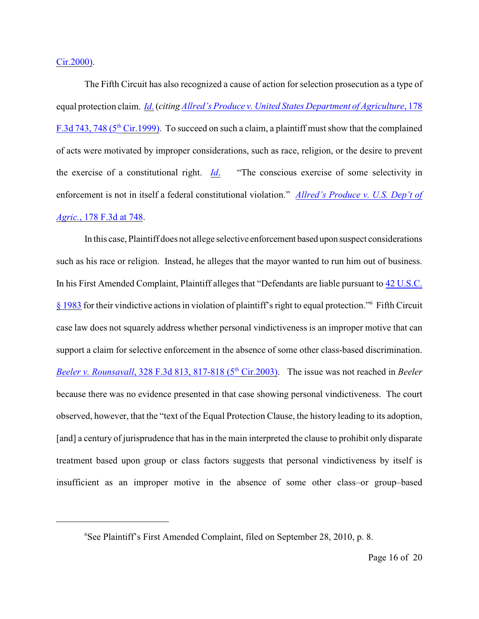Cir.2000).

The Fifth Circuit has also recognized a cause of action for selection prosecution as a type of equal protection claim. *[Id](http://www.westlaw.com/find/default.wl?rs=CLWP3.0&vr=2.0&cite=213+F.3d+267)*. (*citing [Allred's Produce v. United States Department of Agriculture](http://www.westlaw.com/find/default.wl?rs=CLWP3.0&vr=2.0&cite=178+F.3d+743)*, 178 F.3d 743, 748 ( $5<sup>th</sup>$  Cir.1999). To succeed on such a claim, a plaintiff must show that the complained of acts were motivated by improper considerations, such as race, religion, or the desire to prevent the exercise of a constitutional right. *[Id](http://www.westlaw.com/find/default.wl?rs=CLWP3.0&vr=2.0&cite=178+F.3d+743)*. "The conscious exercise of some selectivity in enforcement is not in itself a federal constitutional violation." *[Allred's Produce v. U.S. Dep't of](http://www.westlaw.com/find/default.wl?rs=CLWP3.0&vr=2.0&cite=178+F.3d+748) Agric.*[, 178 F.3d at 748](http://www.westlaw.com/find/default.wl?rs=CLWP3.0&vr=2.0&cite=178+F.3d+748).

In this case, Plaintiff does not allege selective enforcement based upon suspect considerations such as his race or religion. Instead, he alleges that the mayor wanted to run him out of business. In his First Amended Complaint, Plaintiff alleges that "Defendants are liable pursuant to [42 U.S.C.](http://www.westlaw.com/find/default.wl?rs=CLWP3.0&vr=2.0&cite=42+USCA+s+1983) [§ 1983](http://www.westlaw.com/find/default.wl?rs=CLWP3.0&vr=2.0&cite=42+USCA+s+1983) for their vindictive actions in violation of plaintiff's right to equal protection."<sup>6</sup> Fifth Circuit case law does not squarely address whether personal vindictiveness is an improper motive that can support a claim for selective enforcement in the absence of some other class-based discrimination. *Beeler v. Rounsavall*, 328 F.3d 813, 817-818 (5<sup>th</sup> Cir.2003). The issue was not reached in *Beeler* because there was no evidence presented in that case showing personal vindictiveness. The court observed, however, that the "text of the Equal Protection Clause, the history leading to its adoption, [and] a century of jurisprudence that has in the main interpreted the clause to prohibit only disparate treatment based upon group or class factors suggests that personal vindictiveness by itself is insufficient as an improper motive in the absence of some other class–or group–based

 ${}^{6}$ See Plaintiff's First Amended Complaint, filed on September 28, 2010, p. 8.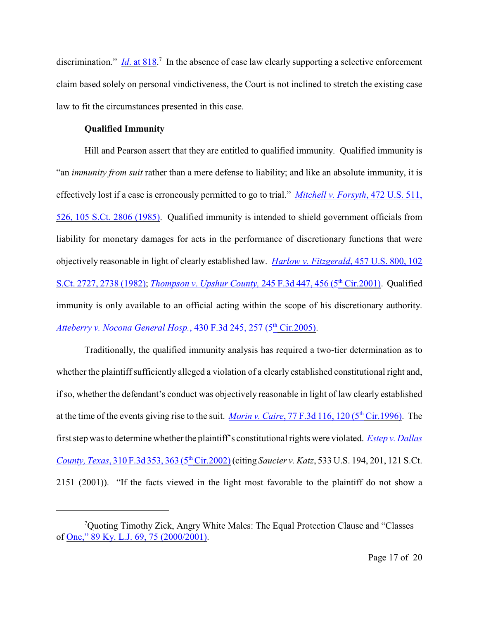discrimination." *Id.* at  $818$ .<sup>7</sup> In the absence of case law clearly supporting a selective enforcement claim based solely on personal vindictiveness, the Court is not inclined to stretch the existing case law to fit the circumstances presented in this case.

# **Qualified Immunity**

Hill and Pearson assert that they are entitled to qualified immunity. Qualified immunity is "an *immunity from suit* rather than a mere defense to liability; and like an absolute immunity, it is effectively lost if a case is erroneously permitted to go to trial." *[Mitchell v. Forsyth](http://www.westlaw.com/find/default.wl?rs=CLWP3.0&vr=2.0&cite=472+U.S.+511)*, 472 U.S. 511, [526, 105 S.Ct. 2806 \(1985\)](http://www.westlaw.com/find/default.wl?rs=CLWP3.0&vr=2.0&cite=472+U.S.+511). Qualified immunity is intended to shield government officials from liability for monetary damages for acts in the performance of discretionary functions that were objectively reasonable in light of clearly established law. *[Harlow v. Fitzgerald](http://www.westlaw.com/find/default.wl?rs=CLWP3.0&vr=2.0&cite=457+U.S.+800)*, 457 U.S. 800, 102 [S.Ct. 2727, 2738 \(1982\)](http://www.westlaw.com/find/default.wl?rs=CLWP3.0&vr=2.0&cite=457+U.S.+800); *Thompson v. Upshur County,* 245 F.3d 447, 456 (5<sup>th</sup> Cir.2001). Qualified immunity is only available to an official acting within the scope of his discretionary authority. [Atteberry v. Nocona General Hosp.](http://www.westlaw.com/find/default.wl?rs=CLWP3.0&vr=2.0&cite=430+F.3d+245), 430 F.3d 245, 257 (5<sup>th</sup> Cir.2005).

Traditionally, the qualified immunity analysis has required a two-tier determination as to whether the plaintiff sufficiently alleged a violation of a clearly established constitutional right and, if so, whether the defendant's conduct was objectively reasonable in light of law clearly established at the time of the events giving rise to the suit. *Morin v. Caire*, 77 F.3d 116, 120 (5<sup>th</sup> Cir.1996). The first step was to determine whether the plaintiff's constitutional rights were violated. *[Estep v. Dallas](http://www.westlaw.com/find/default.wl?rs=CLWP3.0&vr=2.0&cite=310+F.3d+353) County, Texas,* 310 F.3d 353, 363 (5<sup>th</sup> Cir.2002) (citing *Saucier v. Katz*, 533 U.S. 194, 201, 121 S.Ct. 2151 (2001)). "If the facts viewed in the light most favorable to the plaintiff do not show a

<sup>&</sup>lt;sup>7</sup>Quoting Timothy Zick, Angry White Males: The Equal Protection Clause and "Classes" of [One," 89 Ky. L.J. 69, 75 \(2000/2001\)](http://www.westlaw.com/find/default.wl?rs=CLWP3.0&vr=2.0&cite=89+Ky.+L.J.+69).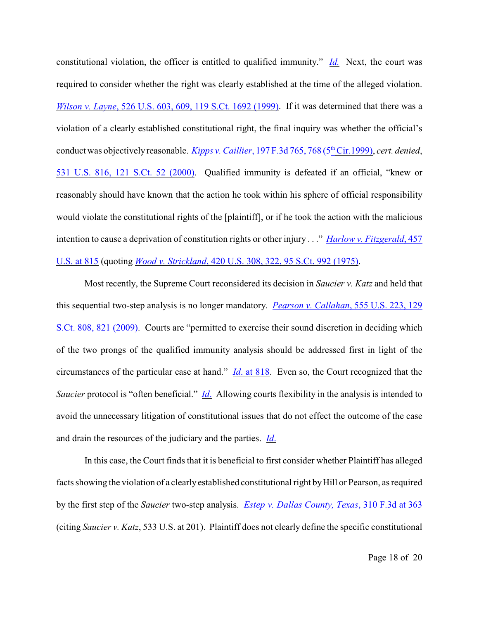constitutional violation, the officer is entitled to qualified immunity." *[Id.](http://www.westlaw.com/find/default.wl?rs=CLWP3.0&vr=2.0&cite=310+F.3d+353)* Next, the court was required to consider whether the right was clearly established at the time of the alleged violation. *Wilson v. Layne*[, 526 U.S. 603, 609, 119 S.Ct. 1692 \(1999\)](http://www.westlaw.com/find/default.wl?rs=CLWP3.0&vr=2.0&cite=526+U.S.+603). If it was determined that there was a violation of a clearly established constitutional right, the final inquiry was whether the official's conduct was objectively reasonable. *Kipps v. Caillier*, 197 F.3d 765, 768 (5<sup>th</sup> Cir.1999), *cert. denied*, [531 U.S. 816, 121 S.Ct. 52 \(2000\)](http://www.westlaw.com/find/default.wl?rs=CLWP3.0&vr=2.0&cite=531+U.S.+816). Qualified immunity is defeated if an official, "knew or reasonably should have known that the action he took within his sphere of official responsibility would violate the constitutional rights of the [plaintiff], or if he took the action with the malicious intention to cause a deprivation of constitution rights or other injury . . ." *[Harlow v. Fitzgerald](http://www.westlaw.com/find/default.wl?rs=CLWP3.0&vr=2.0&cite=457+U.S.+815)*, 457 [U.S. at 815](http://www.westlaw.com/find/default.wl?rs=CLWP3.0&vr=2.0&cite=457+U.S.+815) (quoting *Wood v. Strickland*[, 420 U.S. 308, 322, 95 S.Ct. 992 \(1975\)](http://www.westlaw.com/find/default.wl?rs=CLWP3.0&vr=2.0&cite=420+U.S.+308).

Most recently, the Supreme Court reconsidered its decision in *Saucier v. Katz* and held that this sequential two-step analysis is no longer mandatory. *[Pearson v. Callahan](http://www.westlaw.com/find/default.wl?rs=CLWP3.0&vr=2.0&cite=555+U.S.+223)*, 555 U.S. 223, 129 [S.Ct. 808, 821 \(2009\)](http://www.westlaw.com/find/default.wl?rs=CLWP3.0&vr=2.0&cite=555+U.S.+223). Courts are "permitted to exercise their sound discretion in deciding which of the two prongs of the qualified immunity analysis should be addressed first in light of the circumstances of the particular case at hand." *Id*[. at 818](http://www.westlaw.com/find/default.wl?rs=CLWP3.0&vr=2.0&cite=457+U.S.+818). Even so, the Court recognized that the *Saucier* protocol is "often beneficial." *[Id](http://www.westlaw.com/find/default.wl?rs=CLWP3.0&vr=2.0&cite=555+U.S.+223).* Allowing courts flexibility in the analysis is intended to avoid the unnecessary litigation of constitutional issues that do not effect the outcome of the case and drain the resources of the judiciary and the parties. *[Id](http://www.westlaw.com/find/default.wl?rs=CLWP3.0&vr=2.0&cite=555+U.S.+223)*.

In this case, the Court finds that it is beneficial to first consider whether Plaintiff has alleged facts showing the violation of a clearly established constitutional right by Hill or Pearson, as required by the first step of the *Saucier* two-step analysis. *[Estep v. Dallas County, Texas](http://www.westlaw.com/find/default.wl?rs=CLWP3.0&vr=2.0&cite=310+F.3d+363)*, 310 F.3d at 363 (citing *Saucier v. Katz*, 533 U.S. at 201). Plaintiff does not clearly define the specific constitutional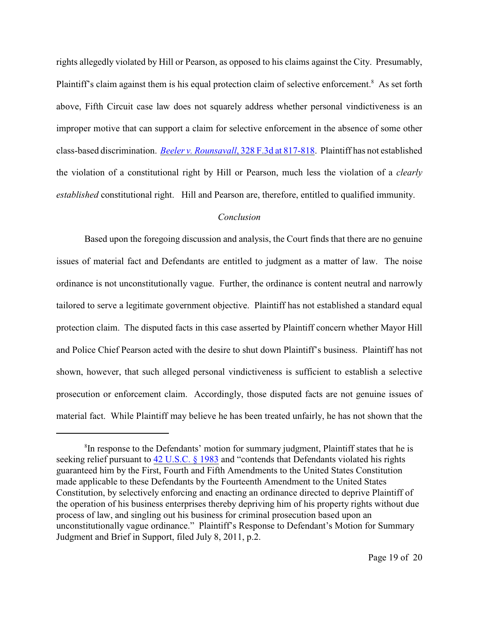rights allegedly violated by Hill or Pearson, as opposed to his claims against the City. Presumably, Plaintiff's claim against them is his equal protection claim of selective enforcement.<sup>8</sup> As set forth above, Fifth Circuit case law does not squarely address whether personal vindictiveness is an improper motive that can support a claim for selective enforcement in the absence of some other class-based discrimination. *Beeler v. Rounsavall*[, 328 F.3d at 817-818](http://www.westlaw.com/find/default.wl?rs=CLWP3.0&vr=2.0&cite=328+F.3d+817). Plaintiff has not established the violation of a constitutional right by Hill or Pearson, much less the violation of a *clearly established* constitutional right. Hill and Pearson are, therefore, entitled to qualified immunity.

## *Conclusion*

Based upon the foregoing discussion and analysis, the Court finds that there are no genuine issues of material fact and Defendants are entitled to judgment as a matter of law. The noise ordinance is not unconstitutionally vague. Further, the ordinance is content neutral and narrowly tailored to serve a legitimate government objective. Plaintiff has not established a standard equal protection claim. The disputed facts in this case asserted by Plaintiff concern whether Mayor Hill and Police Chief Pearson acted with the desire to shut down Plaintiff's business. Plaintiff has not shown, however, that such alleged personal vindictiveness is sufficient to establish a selective prosecution or enforcement claim. Accordingly, those disputed facts are not genuine issues of material fact. While Plaintiff may believe he has been treated unfairly, he has not shown that the

<sup>&</sup>lt;sup>8</sup>In response to the Defendants' motion for summary judgment, Plaintiff states that he is seeking relief pursuant to [42 U.S.C. § 1983](http://www.westlaw.com/find/default.wl?rs=CLWP3.0&vr=2.0&cite=42+USCA+s+1983) and "contends that Defendants violated his rights guaranteed him by the First, Fourth and Fifth Amendments to the United States Constitution made applicable to these Defendants by the Fourteenth Amendment to the United States Constitution, by selectively enforcing and enacting an ordinance directed to deprive Plaintiff of the operation of his business enterprises thereby depriving him of his property rights without due process of law, and singling out his business for criminal prosecution based upon an unconstitutionally vague ordinance." Plaintiff's Response to Defendant's Motion for Summary Judgment and Brief in Support, filed July 8, 2011, p.2.